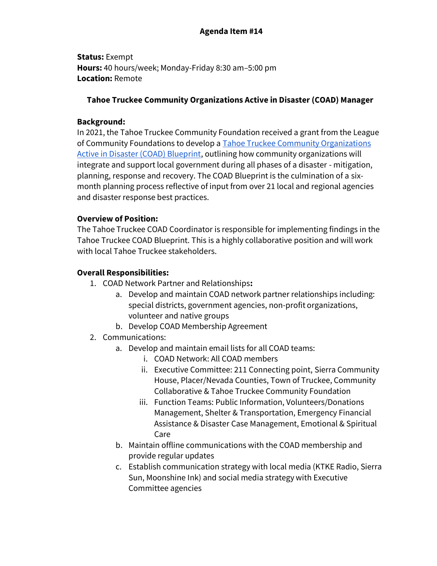# **Agenda Item #14**

**Status:** Exempt **Hours:** 40 hours/week; Monday-Friday 8:30 am–5:00 pm **Location:** Remote

#### **Tahoe Truckee Community Organizations Active in Disaster (COAD) Manager**

#### **Background:**

In 2021, the Tahoe Truckee Community Foundation received a grant from the League of Community Foundations to develop [a Tahoe Truckee Community Organizations](https://docs.google.com/document/u/0/d/1QO0QZAcszPD-xbTlB0F7m65YJGQj5TzYNeLFPJr-Y-Y/edit)  [Active in Disaster \(COAD\) Blueprint,](https://docs.google.com/document/u/0/d/1QO0QZAcszPD-xbTlB0F7m65YJGQj5TzYNeLFPJr-Y-Y/edit) outlining how community organizations will integrate and support local government during all phases of a disaster - mitigation, planning, response and recovery. The COAD Blueprint is the culmination of a sixmonth planning process reflective of input from over 21 local and regional agencies and disaster response best practices.

#### **Overview of Position:**

The Tahoe Truckee COAD Coordinator is responsible for implementing findings in the Tahoe Truckee COAD Blueprint. This is a highly collaborative position and will work with local Tahoe Truckee stakeholders.

#### **Overall Responsibilities:**

- 1. COAD Network Partner and Relationships**:**
	- a. Develop and maintain COAD network partner relationships including: special districts, government agencies, non-profit organizations, volunteer and native groups
	- b. Develop COAD Membership Agreement
- 2. Communications:
	- a. Develop and maintain email lists for all COAD teams:
		- i. COAD Network: All COAD members
		- ii. Executive Committee: 211 Connecting point, Sierra Community House, Placer/Nevada Counties, Town of Truckee, Community Collaborative & Tahoe Truckee Community Foundation
		- iii. Function Teams: Public Information, Volunteers/Donations Management, Shelter & Transportation, Emergency Financial Assistance & Disaster Case Management, Emotional & Spiritual Care
	- b. Maintain offline communications with the COAD membership and provide regular updates
	- c. Establish communication strategy with local media (KTKE Radio, Sierra Sun, Moonshine Ink) and social media strategy with Executive Committee agencies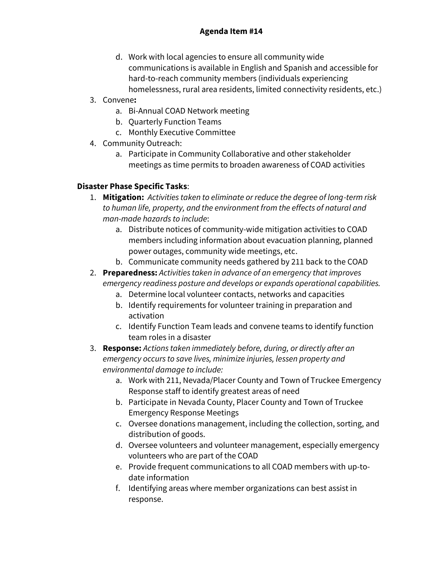- d. Work with local agencies to ensure all community wide communications is available in English and Spanish and accessible for hard-to-reach community members (individuals experiencing homelessness, rural area residents, limited connectivity residents, etc.)
- 3. Convene**:**
	- a. Bi-Annual COAD Network meeting
	- b. Quarterly Function Teams
	- c. Monthly Executive Committee
- 4. Community Outreach:
	- a. Participate in Community Collaborative and other stakeholder meetings as time permits to broaden awareness of COAD activities

# **Disaster Phase Specific Tasks**:

- 1. **Mitigation:** *Activities taken to eliminate or reduce the degree of long-term risk to human life, property, and the environment from the effects of natural and man-made hazards to include*:
	- a. Distribute notices of community-wide mitigation activities to COAD members including information about evacuation planning, planned power outages, community wide meetings, etc.
	- b. Communicate community needs gathered by 211 back to the COAD
- 2. **Preparedness:** *Activities taken in advance of an emergency that improves emergency readiness posture and develops or expands operational capabilities.*
	- a. Determine local volunteer contacts, networks and capacities
	- b. Identify requirements for volunteer training in preparation and activation
	- c. Identify Function Team leads and convene teams to identify function team roles in a disaster
- 3. **Response:** *Actions taken immediately before, during, or directly after an emergency occurs to save lives, minimize injuries, lessen property and environmental damage to include:*
	- a. Work with 211, Nevada/Placer County and Town of Truckee Emergency Response staff to identify greatest areas of need
	- b. Participate in Nevada County, Placer County and Town of Truckee Emergency Response Meetings
	- c. Oversee donations management, including the collection, sorting, and distribution of goods.
	- d. Oversee volunteers and volunteer management, especially emergency volunteers who are part of the COAD
	- e. Provide frequent communications to all COAD members with up-todate information
	- f. Identifying areas where member organizations can best assist in response.